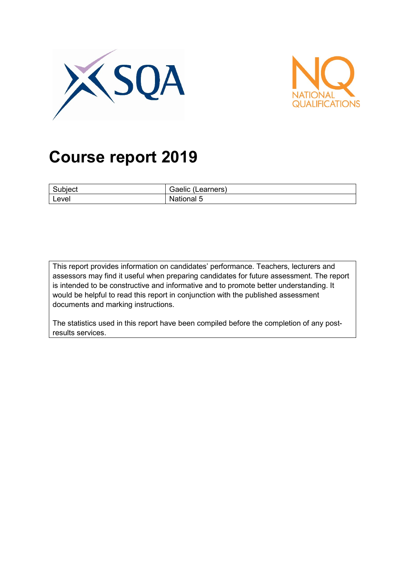



# **Course report 2019**

| $\sim$<br>Subject | <br>Gaelic<br>Learners) |
|-------------------|-------------------------|
| Level             | <b>National 5</b>       |

This report provides information on candidates' performance. Teachers, lecturers and assessors may find it useful when preparing candidates for future assessment. The report is intended to be constructive and informative and to promote better understanding. It would be helpful to read this report in conjunction with the published assessment documents and marking instructions.

The statistics used in this report have been compiled before the completion of any postresults services.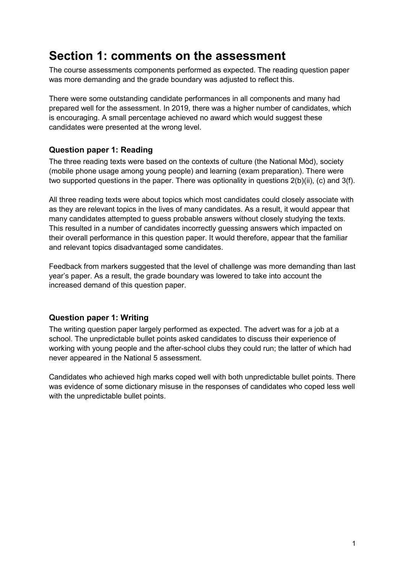# **Section 1: comments on the assessment**

The course assessments components performed as expected. The reading question paper was more demanding and the grade boundary was adjusted to reflect this.

There were some outstanding candidate performances in all components and many had prepared well for the assessment. In 2019, there was a higher number of candidates, which is encouraging. A small percentage achieved no award which would suggest these candidates were presented at the wrong level.

#### **Question paper 1: Reading**

The three reading texts were based on the contexts of culture (the National Mòd), society (mobile phone usage among young people) and learning (exam preparation). There were two supported questions in the paper. There was optionality in questions  $2(b)(ii)$ , (c) and  $3(f)$ .

All three reading texts were about topics which most candidates could closely associate with as they are relevant topics in the lives of many candidates. As a result, it would appear that many candidates attempted to guess probable answers without closely studying the texts. This resulted in a number of candidates incorrectly guessing answers which impacted on their overall performance in this question paper. It would therefore, appear that the familiar and relevant topics disadvantaged some candidates.

Feedback from markers suggested that the level of challenge was more demanding than last year's paper. As a result, the grade boundary was lowered to take into account the increased demand of this question paper.

#### **Question paper 1: Writing**

The writing question paper largely performed as expected. The advert was for a job at a school. The unpredictable bullet points asked candidates to discuss their experience of working with young people and the after-school clubs they could run; the latter of which had never appeared in the National 5 assessment.

Candidates who achieved high marks coped well with both unpredictable bullet points. There was evidence of some dictionary misuse in the responses of candidates who coped less well with the unpredictable bullet points.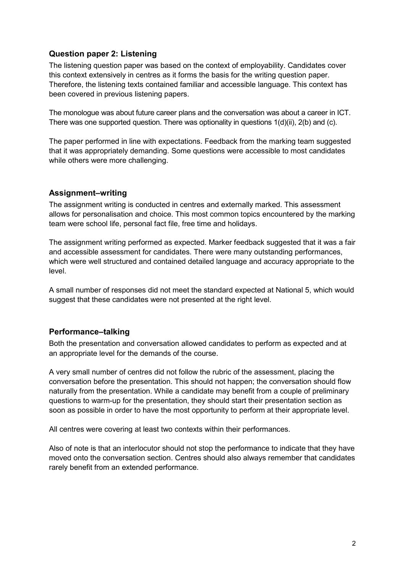#### **Question paper 2: Listening**

The listening question paper was based on the context of employability. Candidates cover this context extensively in centres as it forms the basis for the writing question paper. Therefore, the listening texts contained familiar and accessible language. This context has been covered in previous listening papers.

The monologue was about future career plans and the conversation was about a career in ICT. There was one supported question. There was optionality in questions 1(d)(ii), 2(b) and (c).

The paper performed in line with expectations. Feedback from the marking team suggested that it was appropriately demanding. Some questions were accessible to most candidates while others were more challenging.

#### **Assignment–writing**

The assignment writing is conducted in centres and externally marked. This assessment allows for personalisation and choice. This most common topics encountered by the marking team were school life, personal fact file, free time and holidays.

The assignment writing performed as expected. Marker feedback suggested that it was a fair and accessible assessment for candidates. There were many outstanding performances, which were well structured and contained detailed language and accuracy appropriate to the level.

A small number of responses did not meet the standard expected at National 5, which would suggest that these candidates were not presented at the right level.

#### **Performance–talking**

Both the presentation and conversation allowed candidates to perform as expected and at an appropriate level for the demands of the course.

A very small number of centres did not follow the rubric of the assessment, placing the conversation before the presentation. This should not happen; the conversation should flow naturally from the presentation. While a candidate may benefit from a couple of preliminary questions to warm-up for the presentation, they should start their presentation section as soon as possible in order to have the most opportunity to perform at their appropriate level.

All centres were covering at least two contexts within their performances.

Also of note is that an interlocutor should not stop the performance to indicate that they have moved onto the conversation section. Centres should also always remember that candidates rarely benefit from an extended performance.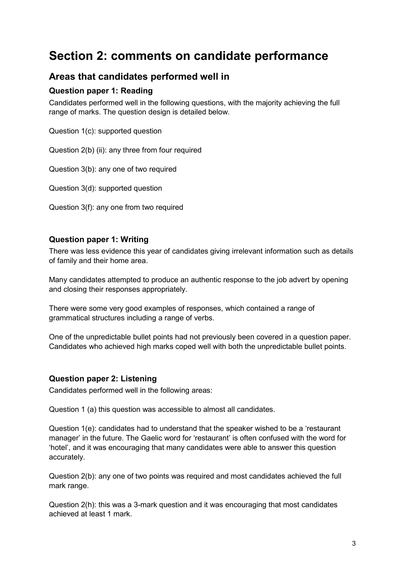# **Section 2: comments on candidate performance**

### **Areas that candidates performed well in**

#### **Question paper 1: Reading**

Candidates performed well in the following questions, with the majority achieving the full range of marks. The question design is detailed below.

Question 1(c): supported question

Question 2(b) (ii): any three from four required

Question 3(b): any one of two required

Question 3(d): supported question

Question 3(f): any one from two required

#### **Question paper 1: Writing**

There was less evidence this year of candidates giving irrelevant information such as details of family and their home area.

Many candidates attempted to produce an authentic response to the job advert by opening and closing their responses appropriately.

There were some very good examples of responses, which contained a range of grammatical structures including a range of verbs.

One of the unpredictable bullet points had not previously been covered in a question paper. Candidates who achieved high marks coped well with both the unpredictable bullet points.

#### **Question paper 2: Listening**

Candidates performed well in the following areas:

Question 1 (a) this question was accessible to almost all candidates.

Question 1(e): candidates had to understand that the speaker wished to be a 'restaurant manager' in the future. The Gaelic word for 'restaurant' is often confused with the word for 'hotel', and it was encouraging that many candidates were able to answer this question accurately.

Question 2(b): any one of two points was required and most candidates achieved the full mark range.

Question 2(h): this was a 3-mark question and it was encouraging that most candidates achieved at least 1 mark.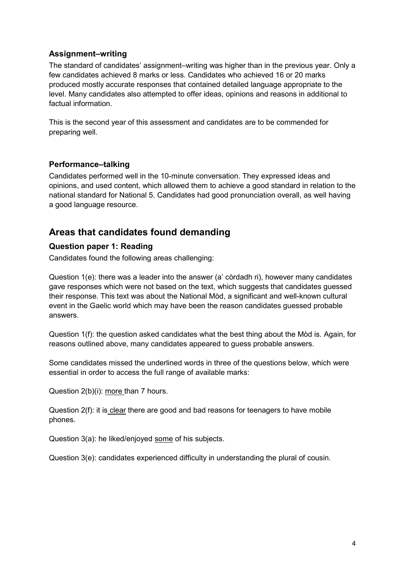#### **Assignment–writing**

The standard of candidates' assignment–writing was higher than in the previous year. Only a few candidates achieved 8 marks or less. Candidates who achieved 16 or 20 marks produced mostly accurate responses that contained detailed language appropriate to the level. Many candidates also attempted to offer ideas, opinions and reasons in additional to factual information.

This is the second year of this assessment and candidates are to be commended for preparing well.

#### **Performance–talking**

Candidates performed well in the 10-minute conversation. They expressed ideas and opinions, and used content, which allowed them to achieve a good standard in relation to the national standard for National 5. Candidates had good pronunciation overall, as well having a good language resource.

### **Areas that candidates found demanding**

#### **Question paper 1: Reading**

Candidates found the following areas challenging:

Question 1(e): there was a leader into the answer (a' còrdadh ri), however many candidates gave responses which were not based on the text, which suggests that candidates guessed their response. This text was about the National Mòd, a significant and well-known cultural event in the Gaelic world which may have been the reason candidates guessed probable answers.

Question 1(f): the question asked candidates what the best thing about the Mòd is. Again, for reasons outlined above, many candidates appeared to guess probable answers.

Some candidates missed the underlined words in three of the questions below, which were essential in order to access the full range of available marks:

Question 2(b)(i): more than 7 hours.

Question 2(f): it is clear there are good and bad reasons for teenagers to have mobile phones.

Question 3(a): he liked/enjoyed some of his subjects.

Question 3(e): candidates experienced difficulty in understanding the plural of cousin.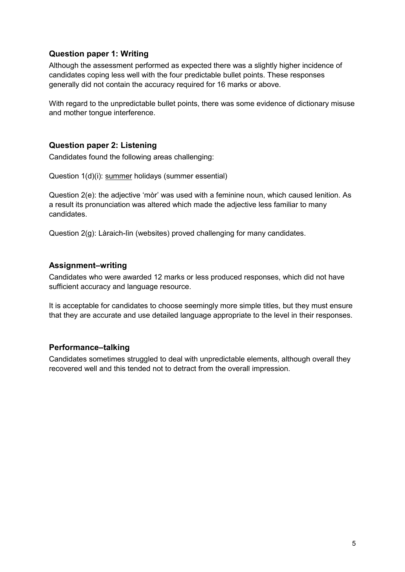#### **Question paper 1: Writing**

Although the assessment performed as expected there was a slightly higher incidence of candidates coping less well with the four predictable bullet points. These responses generally did not contain the accuracy required for 16 marks or above.

With regard to the unpredictable bullet points, there was some evidence of dictionary misuse and mother tongue interference.

#### **Question paper 2: Listening**

Candidates found the following areas challenging:

Question 1(d)(i): summer holidays (summer essential)

Question 2(e): the adjective 'mòr' was used with a feminine noun, which caused lenition. As a result its pronunciation was altered which made the adjective less familiar to many candidates.

Question 2(g): Làraich-lìn (websites) proved challenging for many candidates.

#### **Assignment–writing**

Candidates who were awarded 12 marks or less produced responses, which did not have sufficient accuracy and language resource.

It is acceptable for candidates to choose seemingly more simple titles, but they must ensure that they are accurate and use detailed language appropriate to the level in their responses.

#### **Performance–talking**

Candidates sometimes struggled to deal with unpredictable elements, although overall they recovered well and this tended not to detract from the overall impression.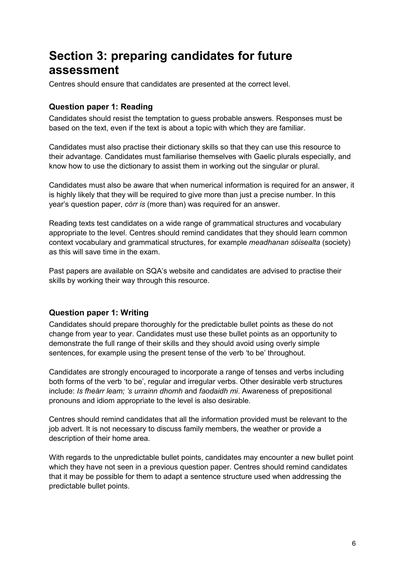# **Section 3: preparing candidates for future assessment**

Centres should ensure that candidates are presented at the correct level.

#### **Question paper 1: Reading**

Candidates should resist the temptation to guess probable answers. Responses must be based on the text, even if the text is about a topic with which they are familiar.

Candidates must also practise their dictionary skills so that they can use this resource to their advantage. Candidates must familiarise themselves with Gaelic plurals especially, and know how to use the dictionary to assist them in working out the singular or plural.

Candidates must also be aware that when numerical information is required for an answer, it is highly likely that they will be required to give more than just a precise number. In this year's question paper, *còrr is* (more than) was required for an answer.

Reading texts test candidates on a wide range of grammatical structures and vocabulary appropriate to the level. Centres should remind candidates that they should learn common context vocabulary and grammatical structures, for example *meadhanan sòisealta* (society) as this will save time in the exam.

Past papers are available on SQA's website and candidates are advised to practise their skills by working their way through this resource.

#### **Question paper 1: Writing**

Candidates should prepare thoroughly for the predictable bullet points as these do not change from year to year. Candidates must use these bullet points as an opportunity to demonstrate the full range of their skills and they should avoid using overly simple sentences, for example using the present tense of the verb 'to be' throughout.

Candidates are strongly encouraged to incorporate a range of tenses and verbs including both forms of the verb 'to be', regular and irregular verbs. Other desirable verb structures include: *Is fheàrr leam; 's urrainn dhomh* and *faodaidh mi*. Awareness of prepositional pronouns and idiom appropriate to the level is also desirable.

Centres should remind candidates that all the information provided must be relevant to the job advert. It is not necessary to discuss family members, the weather or provide a description of their home area.

With regards to the unpredictable bullet points, candidates may encounter a new bullet point which they have not seen in a previous question paper. Centres should remind candidates that it may be possible for them to adapt a sentence structure used when addressing the predictable bullet points.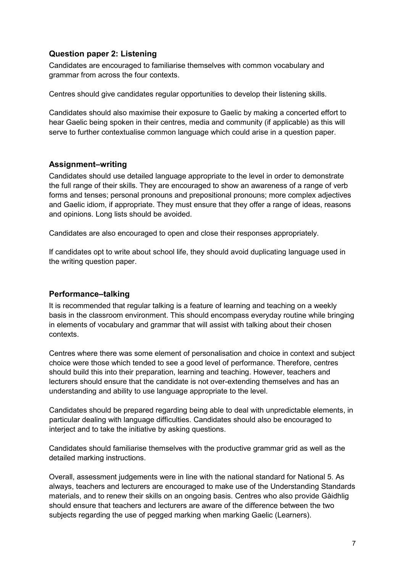#### **Question paper 2: Listening**

Candidates are encouraged to familiarise themselves with common vocabulary and grammar from across the four contexts.

Centres should give candidates regular opportunities to develop their listening skills.

Candidates should also maximise their exposure to Gaelic by making a concerted effort to hear Gaelic being spoken in their centres, media and community (if applicable) as this will serve to further contextualise common language which could arise in a question paper.

#### **Assignment–writing**

Candidates should use detailed language appropriate to the level in order to demonstrate the full range of their skills. They are encouraged to show an awareness of a range of verb forms and tenses; personal pronouns and prepositional pronouns; more complex adjectives and Gaelic idiom, if appropriate. They must ensure that they offer a range of ideas, reasons and opinions. Long lists should be avoided.

Candidates are also encouraged to open and close their responses appropriately.

If candidates opt to write about school life, they should avoid duplicating language used in the writing question paper.

#### **Performance–talking**

It is recommended that regular talking is a feature of learning and teaching on a weekly basis in the classroom environment. This should encompass everyday routine while bringing in elements of vocabulary and grammar that will assist with talking about their chosen contexts.

Centres where there was some element of personalisation and choice in context and subject choice were those which tended to see a good level of performance. Therefore, centres should build this into their preparation, learning and teaching. However, teachers and lecturers should ensure that the candidate is not over-extending themselves and has an understanding and ability to use language appropriate to the level.

Candidates should be prepared regarding being able to deal with unpredictable elements, in particular dealing with language difficulties. Candidates should also be encouraged to interject and to take the initiative by asking questions.

Candidates should familiarise themselves with the productive grammar grid as well as the detailed marking instructions.

Overall, assessment judgements were in line with the national standard for National 5. As always, teachers and lecturers are encouraged to make use of the Understanding Standards materials, and to renew their skills on an ongoing basis. Centres who also provide Gàidhlig should ensure that teachers and lecturers are aware of the difference between the two subjects regarding the use of pegged marking when marking Gaelic (Learners).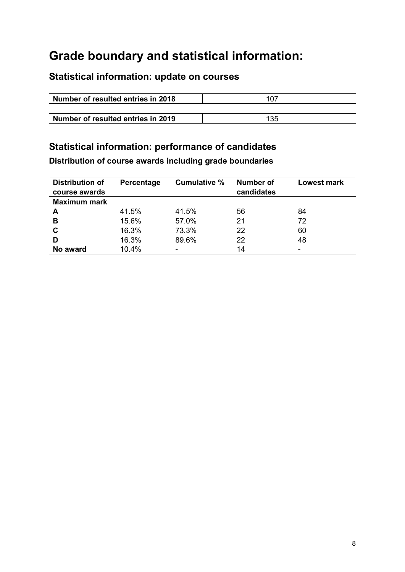# **Grade boundary and statistical information:**

## **Statistical information: update on courses**

| Number of resulted entries in 2018 |      |
|------------------------------------|------|
|                                    |      |
| Number of resulted entries in 2019 | -135 |

## **Statistical information: performance of candidates**

**Distribution of course awards including grade boundaries**

| <b>Distribution of</b><br>course awards | Percentage | Cumulative % | Number of<br>candidates | <b>Lowest mark</b> |
|-----------------------------------------|------------|--------------|-------------------------|--------------------|
| <b>Maximum mark</b>                     |            |              |                         |                    |
| A                                       | 41.5%      | 41.5%        | 56                      | 84                 |
| B                                       | 15.6%      | 57.0%        | 21                      | 72                 |
| $\mathbf c$                             | 16.3%      | 73.3%        | 22                      | 60                 |
| D                                       | 16.3%      | 89.6%        | 22                      | 48                 |
| No award                                | 10.4%      |              | 14                      |                    |